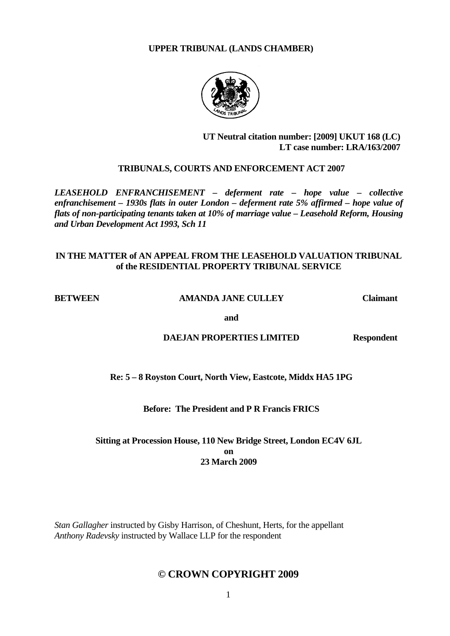#### **UPPER TRIBUNAL (LANDS CHAMBER)**



## **UT Neutral citation number: [2009] UKUT 168 (LC) LT case number: LRA/163/2007**

## **TRIBUNALS, COURTS AND ENFORCEMENT ACT 2007**

*LEASEHOLD ENFRANCHISEMENT – deferment rate – hope value – collective enfranchisement – 1930s flats in outer London – deferment rate 5% affirmed – hope value of flats of non-participating tenants taken at 10% of marriage value – Leasehold Reform, Housing and Urban Development Act 1993, Sch 11* 

## **IN THE MATTER of AN APPEAL FROM THE LEASEHOLD VALUATION TRIBUNAL of the RESIDENTIAL PROPERTY TRIBUNAL SERVICE**

#### **BETWEEN AMANDA JANE CULLEY Claimant**

**and and and** 

## **DAEJAN PROPERTIES LIMITED Respondent**

 **Re: 5 – 8 Royston Court, North View, Eastcote, Middx HA5 1PG** 

## **Before: The President and P R Francis FRICS**

## **Sitting at Procession House, 110 New Bridge Street, London EC4V 6JL on 23 March 2009**

*Stan Gallagher* instructed by Gisby Harrison, of Cheshunt, Herts, for the appellant *Anthony Radevsky* instructed by Wallace LLP for the respondent

## **© CROWN COPYRIGHT 2009**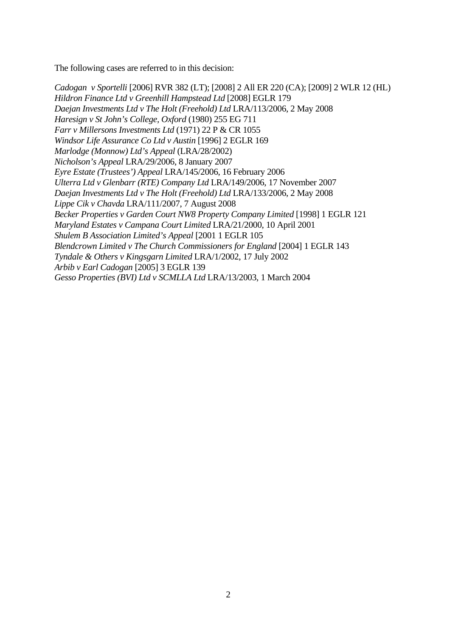The following cases are referred to in this decision:

*Cadogan v Sportelli* [2006] RVR 382 (LT); [2008] 2 All ER 220 (CA); [2009] 2 WLR 12 (HL) *Hildron Finance Ltd v Greenhill Hampstead Ltd* [2008] EGLR 179 *Daejan Investments Ltd v The Holt (Freehold) Ltd* LRA/113/2006, 2 May 2008 *Haresign v St John's College, Oxford* (1980) 255 EG 711 *Farr v Millersons Investments Ltd* (1971) 22 P & CR 1055 *Windsor Life Assurance Co Ltd v Austin* [1996] 2 EGLR 169 *Marlodge (Monnow) Ltd's Appeal* (LRA/28/2002) *Nicholson's Appeal* LRA/29/2006, 8 January 2007 *Eyre Estate (Trustees') Appeal* LRA/145/2006, 16 February 2006 *Ulterra Ltd v Glenbarr (RTE) Company Ltd* LRA/149/2006, 17 November 2007 *Daejan Investments Ltd v The Holt (Freehold) Ltd* LRA/133/2006, 2 May 2008 *Lippe Cik v Chavda* LRA/111/2007, 7 August 2008 *Becker Properties v Garden Court NW8 Property Company Limited* [1998] 1 EGLR 121 *Maryland Estates v Campana Court Limited* LRA/21/2000, 10 April 2001 *Shulem B Association Limited's Appeal* [2001 1 EGLR 105 *Blendcrown Limited v The Church Commissioners for England* [2004] 1 EGLR 143 *Tyndale & Others v Kingsgarn Limited* LRA/1/2002, 17 July 2002 *Arbib v Earl Cadogan* [2005] 3 EGLR 139 *Gesso Properties (BVI) Ltd v SCMLLA Ltd* LRA/13/2003, 1 March 2004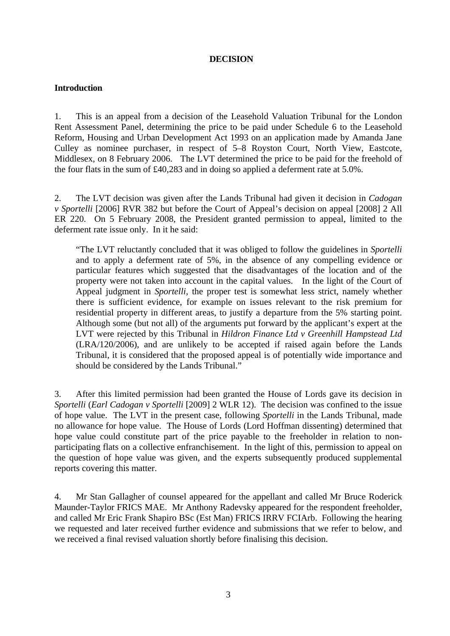#### **DECISION**

## **Introduction**

1. This is an appeal from a decision of the Leasehold Valuation Tribunal for the London Rent Assessment Panel, determining the price to be paid under Schedule 6 to the Leasehold Reform, Housing and Urban Development Act 1993 on an application made by Amanda Jane Culley as nominee purchaser, in respect of 5–8 Royston Court, North View, Eastcote, Middlesex, on 8 February 2006. The LVT determined the price to be paid for the freehold of the four flats in the sum of £40,283 and in doing so applied a deferment rate at 5.0%.

2. The LVT decision was given after the Lands Tribunal had given it decision in *Cadogan v Sportelli* [2006] RVR 382 but before the Court of Appeal's decision on appeal [2008] 2 All ER 220. On 5 February 2008, the President granted permission to appeal, limited to the deferment rate issue only. In it he said:

"The LVT reluctantly concluded that it was obliged to follow the guidelines in *Sportelli* and to apply a deferment rate of 5%, in the absence of any compelling evidence or particular features which suggested that the disadvantages of the location and of the property were not taken into account in the capital values. In the light of the Court of Appeal judgment in *Sportelli*, the proper test is somewhat less strict, namely whether there is sufficient evidence, for example on issues relevant to the risk premium for residential property in different areas, to justify a departure from the 5% starting point. Although some (but not all) of the arguments put forward by the applicant's expert at the LVT were rejected by this Tribunal in *Hildron Finance Ltd v Greenhill Hampstead Ltd*  (LRA/120/2006), and are unlikely to be accepted if raised again before the Lands Tribunal, it is considered that the proposed appeal is of potentially wide importance and should be considered by the Lands Tribunal."

3. After this limited permission had been granted the House of Lords gave its decision in *Sportelli* (*Earl Cadogan v Sportelli* [2009] 2 WLR 12). The decision was confined to the issue of hope value. The LVT in the present case, following *Sportelli* in the Lands Tribunal, made no allowance for hope value. The House of Lords (Lord Hoffman dissenting) determined that hope value could constitute part of the price payable to the freeholder in relation to nonparticipating flats on a collective enfranchisement. In the light of this, permission to appeal on the question of hope value was given, and the experts subsequently produced supplemental reports covering this matter.

4. Mr Stan Gallagher of counsel appeared for the appellant and called Mr Bruce Roderick Maunder-Taylor FRICS MAE. Mr Anthony Radevsky appeared for the respondent freeholder, and called Mr Eric Frank Shapiro BSc (Est Man) FRICS IRRV FCIArb. Following the hearing we requested and later received further evidence and submissions that we refer to below, and we received a final revised valuation shortly before finalising this decision.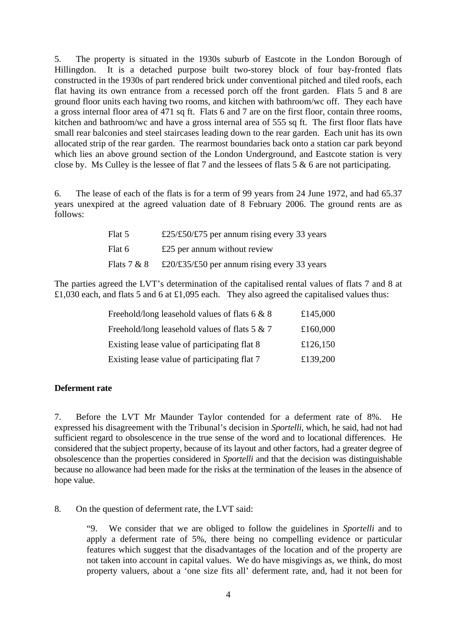5. The property is situated in the 1930s suburb of Eastcote in the London Borough of Hillingdon. It is a detached purpose built two-storey block of four bay-fronted flats constructed in the 1930s of part rendered brick under conventional pitched and tiled roofs, each flat having its own entrance from a recessed porch off the front garden. Flats 5 and 8 are ground floor units each having two rooms, and kitchen with bathroom/wc off. They each have a gross internal floor area of 471 sq ft. Flats 6 and 7 are on the first floor, contain three rooms, kitchen and bathroom/wc and have a gross internal area of 555 sq ft. The first floor flats have small rear balconies and steel staircases leading down to the rear garden. Each unit has its own allocated strip of the rear garden. The rearmost boundaries back onto a station car park beyond which lies an above ground section of the London Underground, and Eastcote station is very close by. Ms Culley is the lessee of flat 7 and the lessees of flats 5 & 6 are not participating.

6. The lease of each of the flats is for a term of 99 years from 24 June 1972, and had 65.37 years unexpired at the agreed valuation date of 8 February 2006. The ground rents are as follows:

| Flat 5        | £25/£50/£75 per annum rising every 33 years |
|---------------|---------------------------------------------|
| Flat 6        | £25 per annum without review                |
| Flats $7 & 8$ | £20/£35/£50 per annum rising every 33 years |

The parties agreed the LVT's determination of the capitalised rental values of flats 7 and 8 at £1,030 each, and flats 5 and 6 at £1,095 each. They also agreed the capitalised values thus:

| Freehold/long leasehold values of flats $6 \& 8$ | £145,000 |
|--------------------------------------------------|----------|
| Freehold/long leasehold values of flats $5 & 7$  | £160,000 |
| Existing lease value of participating flat 8     | £126,150 |
| Existing lease value of participating flat 7     | £139,200 |

## **Deferment rate**

7. Before the LVT Mr Maunder Taylor contended for a deferment rate of 8%. He expressed his disagreement with the Tribunal's decision in *Sportelli*, which, he said, had not had sufficient regard to obsolescence in the true sense of the word and to locational differences. He considered that the subject property, because of its layout and other factors, had a greater degree of obsolescence than the properties considered in *Sportelli* and that the decision was distinguishable because no allowance had been made for the risks at the termination of the leases in the absence of hope value.

8. On the question of deferment rate, the LVT said:

"9. We consider that we are obliged to follow the guidelines in *Sportelli* and to apply a deferment rate of 5%, there being no compelling evidence or particular features which suggest that the disadvantages of the location and of the property are not taken into account in capital values. We do have misgivings as, we think, do most property valuers, about a 'one size fits all' deferment rate, and, had it not been for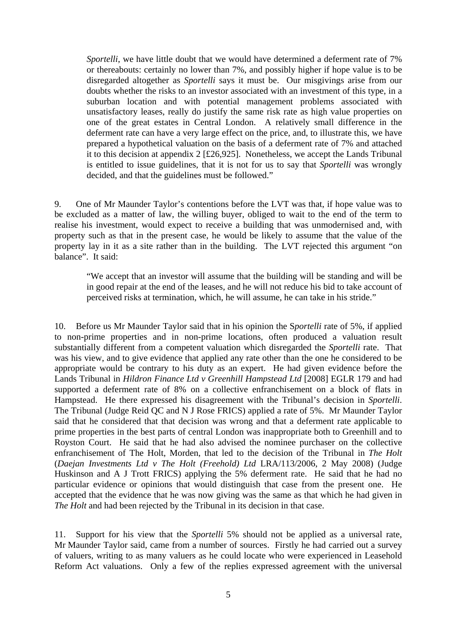*Sportelli*, we have little doubt that we would have determined a deferment rate of 7% or thereabouts: certainly no lower than 7%, and possibly higher if hope value is to be disregarded altogether as *Sportelli* says it must be. Our misgivings arise from our doubts whether the risks to an investor associated with an investment of this type, in a suburban location and with potential management problems associated with unsatisfactory leases, really do justify the same risk rate as high value properties on one of the great estates in Central London. A relatively small difference in the deferment rate can have a very large effect on the price, and, to illustrate this, we have prepared a hypothetical valuation on the basis of a deferment rate of 7% and attached it to this decision at appendix 2 [£26,925]. Nonetheless, we accept the Lands Tribunal is entitled to issue guidelines, that it is not for us to say that *Sportelli* was wrongly decided, and that the guidelines must be followed."

9. One of Mr Maunder Taylor's contentions before the LVT was that, if hope value was to be excluded as a matter of law, the willing buyer, obliged to wait to the end of the term to realise his investment, would expect to receive a building that was unmodernised and, with property such as that in the present case, he would be likely to assume that the value of the property lay in it as a site rather than in the building. The LVT rejected this argument "on balance". It said:

"We accept that an investor will assume that the building will be standing and will be in good repair at the end of the leases, and he will not reduce his bid to take account of perceived risks at termination, which, he will assume, he can take in his stride."

10. Before us Mr Maunder Taylor said that in his opinion the S*portelli* rate of 5%, if applied to non-prime properties and in non-prime locations, often produced a valuation result substantially different from a competent valuation which disregarded the *Sportelli* rate. That was his view, and to give evidence that applied any rate other than the one he considered to be appropriate would be contrary to his duty as an expert. He had given evidence before the Lands Tribunal in *Hildron Finance Ltd v Greenhill Hampstead Ltd* [2008] EGLR 179 and had supported a deferment rate of 8% on a collective enfranchisement on a block of flats in Hampstead. He there expressed his disagreement with the Tribunal's decision in *Sportelli*. The Tribunal (Judge Reid QC and N J Rose FRICS) applied a rate of 5%. Mr Maunder Taylor said that he considered that that decision was wrong and that a deferment rate applicable to prime properties in the best parts of central London was inappropriate both to Greenhill and to Royston Court. He said that he had also advised the nominee purchaser on the collective enfranchisement of The Holt, Morden, that led to the decision of the Tribunal in *The Holt*  (*Daejan Investments Ltd v The Holt (Freehold) Ltd* LRA/113/2006, 2 May 2008) (Judge Huskinson and A J Trott FRICS) applying the 5% deferment rate. He said that he had no particular evidence or opinions that would distinguish that case from the present one. He accepted that the evidence that he was now giving was the same as that which he had given in *The Holt* and had been rejected by the Tribunal in its decision in that case.

11. Support for his view that the *Sportelli* 5% should not be applied as a universal rate, Mr Maunder Taylor said, came from a number of sources. Firstly he had carried out a survey of valuers, writing to as many valuers as he could locate who were experienced in Leasehold Reform Act valuations. Only a few of the replies expressed agreement with the universal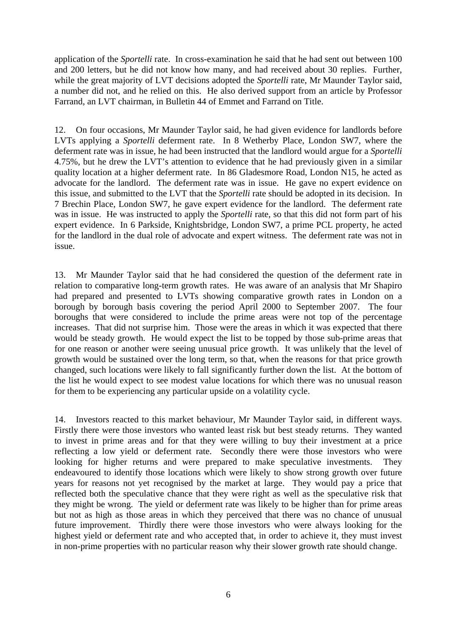application of the *Sportelli* rate. In cross-examination he said that he had sent out between 100 and 200 letters, but he did not know how many, and had received about 30 replies. Further, while the great majority of LVT decisions adopted the *Sportelli* rate, Mr Maunder Taylor said, a number did not, and he relied on this. He also derived support from an article by Professor Farrand, an LVT chairman, in Bulletin 44 of Emmet and Farrand on Title.

12. On four occasions, Mr Maunder Taylor said, he had given evidence for landlords before LVTs applying a *Sportelli* deferment rate. In 8 Wetherby Place, London SW7, where the deferment rate was in issue, he had been instructed that the landlord would argue for a *Sportelli* 4.75%, but he drew the LVT's attention to evidence that he had previously given in a similar quality location at a higher deferment rate. In 86 Gladesmore Road, London N15, he acted as advocate for the landlord. The deferment rate was in issue. He gave no expert evidence on this issue, and submitted to the LVT that the *Sportelli* rate should be adopted in its decision. In 7 Brechin Place, London SW7, he gave expert evidence for the landlord. The deferment rate was in issue. He was instructed to apply the *Sportelli* rate, so that this did not form part of his expert evidence. In 6 Parkside, Knightsbridge, London SW7, a prime PCL property, he acted for the landlord in the dual role of advocate and expert witness. The deferment rate was not in issue.

13. Mr Maunder Taylor said that he had considered the question of the deferment rate in relation to comparative long-term growth rates. He was aware of an analysis that Mr Shapiro had prepared and presented to LVTs showing comparative growth rates in London on a borough by borough basis covering the period April 2000 to September 2007. The four boroughs that were considered to include the prime areas were not top of the percentage increases. That did not surprise him. Those were the areas in which it was expected that there would be steady growth. He would expect the list to be topped by those sub-prime areas that for one reason or another were seeing unusual price growth. It was unlikely that the level of growth would be sustained over the long term, so that, when the reasons for that price growth changed, such locations were likely to fall significantly further down the list. At the bottom of the list he would expect to see modest value locations for which there was no unusual reason for them to be experiencing any particular upside on a volatility cycle.

14. Investors reacted to this market behaviour, Mr Maunder Taylor said, in different ways. Firstly there were those investors who wanted least risk but best steady returns. They wanted to invest in prime areas and for that they were willing to buy their investment at a price reflecting a low yield or deferment rate. Secondly there were those investors who were looking for higher returns and were prepared to make speculative investments. They endeavoured to identify those locations which were likely to show strong growth over future years for reasons not yet recognised by the market at large. They would pay a price that reflected both the speculative chance that they were right as well as the speculative risk that they might be wrong. The yield or deferment rate was likely to be higher than for prime areas but not as high as those areas in which they perceived that there was no chance of unusual future improvement. Thirdly there were those investors who were always looking for the highest yield or deferment rate and who accepted that, in order to achieve it, they must invest in non-prime properties with no particular reason why their slower growth rate should change.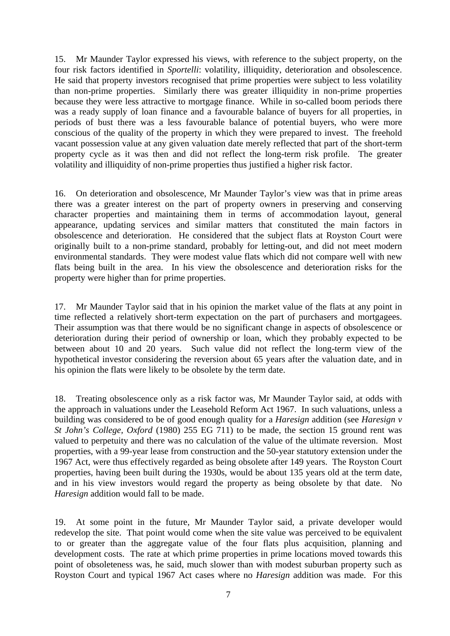15. Mr Maunder Taylor expressed his views, with reference to the subject property, on the four risk factors identified in *Sportelli*: volatility, illiquidity, deterioration and obsolescence. He said that property investors recognised that prime properties were subject to less volatility than non-prime properties. Similarly there was greater illiquidity in non-prime properties because they were less attractive to mortgage finance. While in so-called boom periods there was a ready supply of loan finance and a favourable balance of buyers for all properties, in periods of bust there was a less favourable balance of potential buyers, who were more conscious of the quality of the property in which they were prepared to invest. The freehold vacant possession value at any given valuation date merely reflected that part of the short-term property cycle as it was then and did not reflect the long-term risk profile. The greater volatility and illiquidity of non-prime properties thus justified a higher risk factor.

16. On deterioration and obsolescence, Mr Maunder Taylor's view was that in prime areas there was a greater interest on the part of property owners in preserving and conserving character properties and maintaining them in terms of accommodation layout, general appearance, updating services and similar matters that constituted the main factors in obsolescence and deterioration. He considered that the subject flats at Royston Court were originally built to a non-prime standard, probably for letting-out, and did not meet modern environmental standards. They were modest value flats which did not compare well with new flats being built in the area. In his view the obsolescence and deterioration risks for the property were higher than for prime properties.

17. Mr Maunder Taylor said that in his opinion the market value of the flats at any point in time reflected a relatively short-term expectation on the part of purchasers and mortgagees. Their assumption was that there would be no significant change in aspects of obsolescence or deterioration during their period of ownership or loan, which they probably expected to be between about 10 and 20 years. Such value did not reflect the long-term view of the hypothetical investor considering the reversion about 65 years after the valuation date, and in his opinion the flats were likely to be obsolete by the term date.

18. Treating obsolescence only as a risk factor was, Mr Maunder Taylor said, at odds with the approach in valuations under the Leasehold Reform Act 1967. In such valuations, unless a building was considered to be of good enough quality for a *Haresign* addition (see *Haresign v St John's College, Oxford* (1980) 255 EG 711) to be made, the section 15 ground rent was valued to perpetuity and there was no calculation of the value of the ultimate reversion. Most properties, with a 99-year lease from construction and the 50-year statutory extension under the 1967 Act, were thus effectively regarded as being obsolete after 149 years. The Royston Court properties, having been built during the 1930s, would be about 135 years old at the term date, and in his view investors would regard the property as being obsolete by that date. No *Haresign* addition would fall to be made.

19. At some point in the future, Mr Maunder Taylor said, a private developer would redevelop the site. That point would come when the site value was perceived to be equivalent to or greater than the aggregate value of the four flats plus acquisition, planning and development costs. The rate at which prime properties in prime locations moved towards this point of obsoleteness was, he said, much slower than with modest suburban property such as Royston Court and typical 1967 Act cases where no *Haresign* addition was made. For this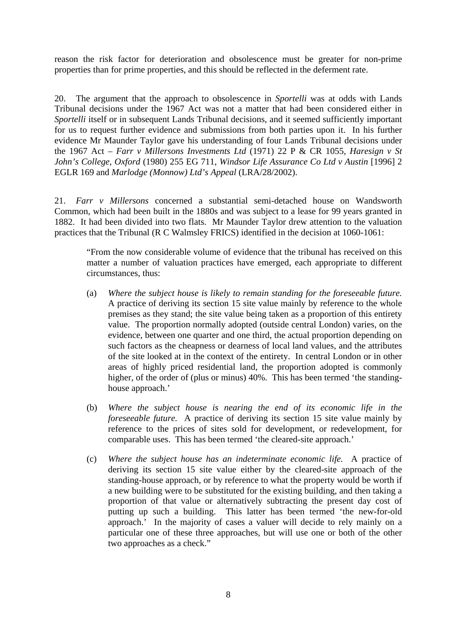reason the risk factor for deterioration and obsolescence must be greater for non-prime properties than for prime properties, and this should be reflected in the deferment rate.

20. The argument that the approach to obsolescence in *Sportelli* was at odds with Lands Tribunal decisions under the 1967 Act was not a matter that had been considered either in *Sportelli* itself or in subsequent Lands Tribunal decisions, and it seemed sufficiently important for us to request further evidence and submissions from both parties upon it. In his further evidence Mr Maunder Taylor gave his understanding of four Lands Tribunal decisions under the 1967 Act – *Farr v Millersons Investments Ltd* (1971) 22 P & CR 1055, *Haresign v St John's College, Oxford* (1980) 255 EG 711, *Windsor Life Assurance Co Ltd v Austin* [1996] 2 EGLR 169 and *Marlodge (Monnow) Ltd's Appeal* (LRA/28/2002).

21. *Farr v Millersons* concerned a substantial semi-detached house on Wandsworth Common, which had been built in the 1880s and was subject to a lease for 99 years granted in 1882. It had been divided into two flats. Mr Maunder Taylor drew attention to the valuation practices that the Tribunal (R C Walmsley FRICS) identified in the decision at 1060-1061:

"From the now considerable volume of evidence that the tribunal has received on this matter a number of valuation practices have emerged, each appropriate to different circumstances, thus:

- (a) *Where the subject house is likely to remain standing for the foreseeable future.* A practice of deriving its section 15 site value mainly by reference to the whole premises as they stand; the site value being taken as a proportion of this entirety value. The proportion normally adopted (outside central London) varies, on the evidence, between one quarter and one third, the actual proportion depending on such factors as the cheapness or dearness of local land values, and the attributes of the site looked at in the context of the entirety. In central London or in other areas of highly priced residential land, the proportion adopted is commonly higher, of the order of (plus or minus) 40%. This has been termed 'the standinghouse approach.'
- (b) *Where the subject house is nearing the end of its economic life in the foreseeable future.* A practice of deriving its section 15 site value mainly by reference to the prices of sites sold for development, or redevelopment, for comparable uses. This has been termed 'the cleared-site approach.'
- (c) *Where the subject house has an indeterminate economic life.* A practice of deriving its section 15 site value either by the cleared-site approach of the standing-house approach, or by reference to what the property would be worth if a new building were to be substituted for the existing building, and then taking a proportion of that value or alternatively subtracting the present day cost of putting up such a building. This latter has been termed 'the new-for-old approach.' In the majority of cases a valuer will decide to rely mainly on a particular one of these three approaches, but will use one or both of the other two approaches as a check."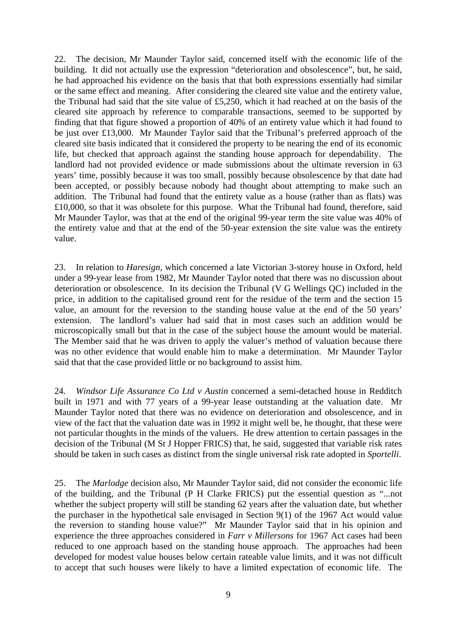22. The decision, Mr Maunder Taylor said, concerned itself with the economic life of the building. It did not actually use the expression "deterioration and obsolescence", but, he said, he had approached his evidence on the basis that that both expressions essentially had similar or the same effect and meaning. After considering the cleared site value and the entirety value, the Tribunal had said that the site value of £5,250, which it had reached at on the basis of the cleared site approach by reference to comparable transactions, seemed to be supported by finding that that figure showed a proportion of 40% of an entirety value which it had found to be just over £13,000. Mr Maunder Taylor said that the Tribunal's preferred approach of the cleared site basis indicated that it considered the property to be nearing the end of its economic life, but checked that approach against the standing house approach for dependability. The landlord had not provided evidence or made submissions about the ultimate reversion in 63 years' time, possibly because it was too small, possibly because obsolescence by that date had been accepted, or possibly because nobody had thought about attempting to make such an addition. The Tribunal had found that the entirety value as a house (rather than as flats) was £10,000, so that it was obsolete for this purpose. What the Tribunal had found, therefore, said Mr Maunder Taylor, was that at the end of the original 99-year term the site value was 40% of the entirety value and that at the end of the 50-year extension the site value was the entirety value.

23. In relation to *Haresign*, which concerned a late Victorian 3-storey house in Oxford, held under a 99-year lease from 1982, Mr Maunder Taylor noted that there was no discussion about deterioration or obsolescence. In its decision the Tribunal (V G Wellings QC) included in the price, in addition to the capitalised ground rent for the residue of the term and the section 15 value, an amount for the reversion to the standing house value at the end of the 50 years' extension. The landlord's valuer had said that in most cases such an addition would be microscopically small but that in the case of the subject house the amount would be material. The Member said that he was driven to apply the valuer's method of valuation because there was no other evidence that would enable him to make a determination. Mr Maunder Taylor said that that the case provided little or no background to assist him.

24. *Windsor Life Assurance Co Ltd v Austin* concerned a semi-detached house in Redditch built in 1971 and with 77 years of a 99-year lease outstanding at the valuation date. Mr Maunder Taylor noted that there was no evidence on deterioration and obsolescence, and in view of the fact that the valuation date was in 1992 it might well be, he thought, that these were not particular thoughts in the minds of the valuers. He drew attention to certain passages in the decision of the Tribunal (M St J Hopper FRICS) that, he said, suggested that variable risk rates should be taken in such cases as distinct from the single universal risk rate adopted in *Sportelli*.

25. The *Marlodge* decision also, Mr Maunder Taylor said, did not consider the economic life of the building, and the Tribunal (P H Clarke FRICS) put the essential question as "...not whether the subject property will still be standing 62 years after the valuation date, but whether the purchaser in the hypothetical sale envisaged in Section 9(1) of the 1967 Act would value the reversion to standing house value?" Mr Maunder Taylor said that in his opinion and experience the three approaches considered in *Farr v Millersons* for 1967 Act cases had been reduced to one approach based on the standing house approach. The approaches had been developed for modest value houses below certain rateable value limits, and it was not difficult to accept that such houses were likely to have a limited expectation of economic life. The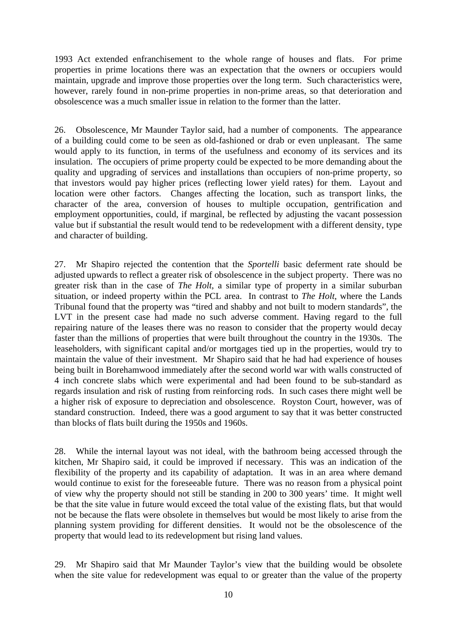1993 Act extended enfranchisement to the whole range of houses and flats. For prime properties in prime locations there was an expectation that the owners or occupiers would maintain, upgrade and improve those properties over the long term. Such characteristics were, however, rarely found in non-prime properties in non-prime areas, so that deterioration and obsolescence was a much smaller issue in relation to the former than the latter.

26. Obsolescence, Mr Maunder Taylor said, had a number of components. The appearance of a building could come to be seen as old-fashioned or drab or even unpleasant. The same would apply to its function, in terms of the usefulness and economy of its services and its insulation. The occupiers of prime property could be expected to be more demanding about the quality and upgrading of services and installations than occupiers of non-prime property, so that investors would pay higher prices (reflecting lower yield rates) for them. Layout and location were other factors. Changes affecting the location, such as transport links, the character of the area, conversion of houses to multiple occupation, gentrification and employment opportunities, could, if marginal, be reflected by adjusting the vacant possession value but if substantial the result would tend to be redevelopment with a different density, type and character of building.

27. Mr Shapiro rejected the contention that the *Sportelli* basic deferment rate should be adjusted upwards to reflect a greater risk of obsolescence in the subject property. There was no greater risk than in the case of *The Holt*, a similar type of property in a similar suburban situation, or indeed property within the PCL area. In contrast to *The Holt*, where the Lands Tribunal found that the property was "tired and shabby and not built to modern standards", the LVT in the present case had made no such adverse comment. Having regard to the full repairing nature of the leases there was no reason to consider that the property would decay faster than the millions of properties that were built throughout the country in the 1930s. The leaseholders, with significant capital and/or mortgages tied up in the properties, would try to maintain the value of their investment. Mr Shapiro said that he had had experience of houses being built in Borehamwood immediately after the second world war with walls constructed of 4 inch concrete slabs which were experimental and had been found to be sub-standard as regards insulation and risk of rusting from reinforcing rods. In such cases there might well be a higher risk of exposure to depreciation and obsolescence. Royston Court, however, was of standard construction. Indeed, there was a good argument to say that it was better constructed than blocks of flats built during the 1950s and 1960s.

28. While the internal layout was not ideal, with the bathroom being accessed through the kitchen, Mr Shapiro said, it could be improved if necessary. This was an indication of the flexibility of the property and its capability of adaptation. It was in an area where demand would continue to exist for the foreseeable future. There was no reason from a physical point of view why the property should not still be standing in 200 to 300 years' time. It might well be that the site value in future would exceed the total value of the existing flats, but that would not be because the flats were obsolete in themselves but would be most likely to arise from the planning system providing for different densities. It would not be the obsolescence of the property that would lead to its redevelopment but rising land values.

29. Mr Shapiro said that Mr Maunder Taylor's view that the building would be obsolete when the site value for redevelopment was equal to or greater than the value of the property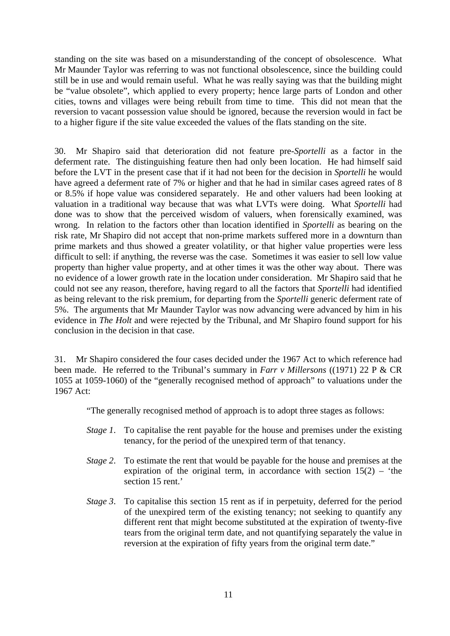standing on the site was based on a misunderstanding of the concept of obsolescence. What Mr Maunder Taylor was referring to was not functional obsolescence, since the building could still be in use and would remain useful. What he was really saying was that the building might be "value obsolete", which applied to every property; hence large parts of London and other cities, towns and villages were being rebuilt from time to time. This did not mean that the reversion to vacant possession value should be ignored, because the reversion would in fact be to a higher figure if the site value exceeded the values of the flats standing on the site.

30. Mr Shapiro said that deterioration did not feature pre-*Sportelli* as a factor in the deferment rate. The distinguishing feature then had only been location. He had himself said before the LVT in the present case that if it had not been for the decision in *Sportelli* he would have agreed a deferment rate of 7% or higher and that he had in similar cases agreed rates of 8 or 8.5% if hope value was considered separately. He and other valuers had been looking at valuation in a traditional way because that was what LVTs were doing. What *Sportelli* had done was to show that the perceived wisdom of valuers, when forensically examined, was wrong. In relation to the factors other than location identified in *Sportelli* as bearing on the risk rate, Mr Shapiro did not accept that non-prime markets suffered more in a downturn than prime markets and thus showed a greater volatility, or that higher value properties were less difficult to sell: if anything, the reverse was the case. Sometimes it was easier to sell low value property than higher value property, and at other times it was the other way about. There was no evidence of a lower growth rate in the location under consideration. Mr Shapiro said that he could not see any reason, therefore, having regard to all the factors that *Sportelli* had identified as being relevant to the risk premium, for departing from the *Sportelli* generic deferment rate of 5%. The arguments that Mr Maunder Taylor was now advancing were advanced by him in his evidence in *The Holt* and were rejected by the Tribunal, and Mr Shapiro found support for his conclusion in the decision in that case.

31. Mr Shapiro considered the four cases decided under the 1967 Act to which reference had been made. He referred to the Tribunal's summary in *Farr v Millersons* ((1971) 22 P & CR 1055 at 1059-1060) of the "generally recognised method of approach" to valuations under the 1967 Act:

"The generally recognised method of approach is to adopt three stages as follows:

- *Stage 1*. To capitalise the rent payable for the house and premises under the existing tenancy, for the period of the unexpired term of that tenancy.
- *Stage 2*. To estimate the rent that would be payable for the house and premises at the expiration of the original term, in accordance with section  $15(2)$  – 'the section 15 rent.'
- *Stage 3.* To capitalise this section 15 rent as if in perpetuity, deferred for the period of the unexpired term of the existing tenancy; not seeking to quantify any different rent that might become substituted at the expiration of twenty-five tears from the original term date, and not quantifying separately the value in reversion at the expiration of fifty years from the original term date."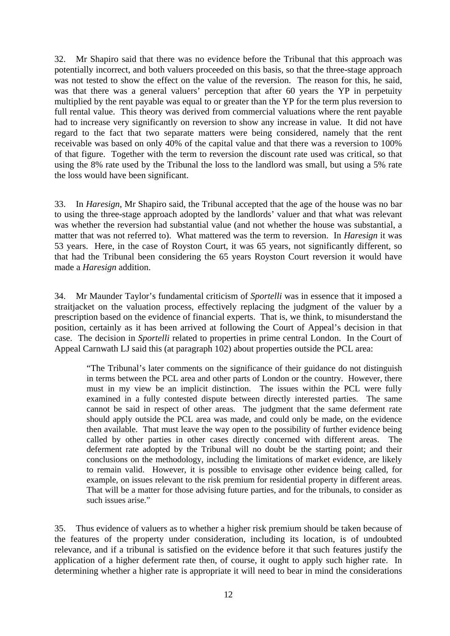32. Mr Shapiro said that there was no evidence before the Tribunal that this approach was potentially incorrect, and both valuers proceeded on this basis, so that the three-stage approach was not tested to show the effect on the value of the reversion. The reason for this, he said, was that there was a general valuers' perception that after 60 years the YP in perpetuity multiplied by the rent payable was equal to or greater than the YP for the term plus reversion to full rental value. This theory was derived from commercial valuations where the rent payable had to increase very significantly on reversion to show any increase in value. It did not have regard to the fact that two separate matters were being considered, namely that the rent receivable was based on only 40% of the capital value and that there was a reversion to 100% of that figure. Together with the term to reversion the discount rate used was critical, so that using the 8% rate used by the Tribunal the loss to the landlord was small, but using a 5% rate the loss would have been significant.

33. In *Haresign*, Mr Shapiro said, the Tribunal accepted that the age of the house was no bar to using the three-stage approach adopted by the landlords' valuer and that what was relevant was whether the reversion had substantial value (and not whether the house was substantial, a matter that was not referred to). What mattered was the term to reversion. In *Haresign* it was 53 years. Here, in the case of Royston Court, it was 65 years, not significantly different, so that had the Tribunal been considering the 65 years Royston Court reversion it would have made a *Haresign* addition.

34. Mr Maunder Taylor's fundamental criticism of *Sportelli* was in essence that it imposed a straitjacket on the valuation process, effectively replacing the judgment of the valuer by a prescription based on the evidence of financial experts. That is, we think, to misunderstand the position, certainly as it has been arrived at following the Court of Appeal's decision in that case. The decision in *Sportelli* related to properties in prime central London. In the Court of Appeal Carnwath LJ said this (at paragraph 102) about properties outside the PCL area:

"The Tribunal's later comments on the significance of their guidance do not distinguish in terms between the PCL area and other parts of London or the country. However, there must in my view be an implicit distinction. The issues within the PCL were fully examined in a fully contested dispute between directly interested parties. The same cannot be said in respect of other areas. The judgment that the same deferment rate should apply outside the PCL area was made, and could only be made, on the evidence then available. That must leave the way open to the possibility of further evidence being called by other parties in other cases directly concerned with different areas. The deferment rate adopted by the Tribunal will no doubt be the starting point; and their conclusions on the methodology, including the limitations of market evidence, are likely to remain valid. However, it is possible to envisage other evidence being called, for example, on issues relevant to the risk premium for residential property in different areas. That will be a matter for those advising future parties, and for the tribunals, to consider as such issues arise."

35. Thus evidence of valuers as to whether a higher risk premium should be taken because of the features of the property under consideration, including its location, is of undoubted relevance, and if a tribunal is satisfied on the evidence before it that such features justify the application of a higher deferment rate then, of course, it ought to apply such higher rate. In determining whether a higher rate is appropriate it will need to bear in mind the considerations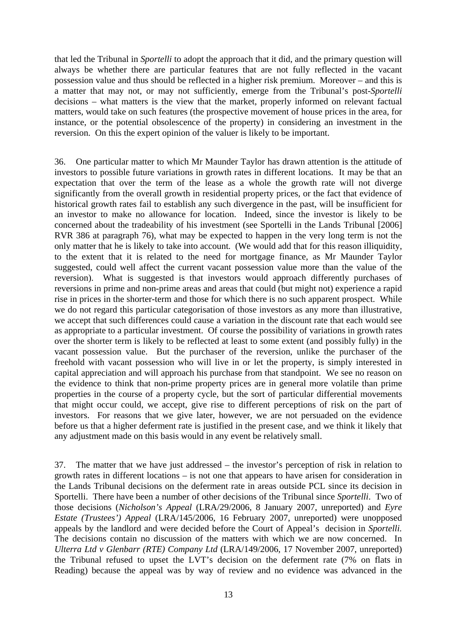that led the Tribunal in *Sportelli* to adopt the approach that it did, and the primary question will always be whether there are particular features that are not fully reflected in the vacant possession value and thus should be reflected in a higher risk premium. Moreover – and this is a matter that may not, or may not sufficiently, emerge from the Tribunal's post-*Sportelli* decisions – what matters is the view that the market, properly informed on relevant factual matters, would take on such features (the prospective movement of house prices in the area, for instance, or the potential obsolescence of the property) in considering an investment in the reversion. On this the expert opinion of the valuer is likely to be important.

36. One particular matter to which Mr Maunder Taylor has drawn attention is the attitude of investors to possible future variations in growth rates in different locations. It may be that an expectation that over the term of the lease as a whole the growth rate will not diverge significantly from the overall growth in residential property prices, or the fact that evidence of historical growth rates fail to establish any such divergence in the past, will be insufficient for an investor to make no allowance for location. Indeed, since the investor is likely to be concerned about the tradeability of his investment (see Sportelli in the Lands Tribunal [2006] RVR 386 at paragraph 76), what may be expected to happen in the very long term is not the only matter that he is likely to take into account. (We would add that for this reason illiquidity, to the extent that it is related to the need for mortgage finance, as Mr Maunder Taylor suggested, could well affect the current vacant possession value more than the value of the reversion). What is suggested is that investors would approach differently purchases of reversions in prime and non-prime areas and areas that could (but might not) experience a rapid rise in prices in the shorter-term and those for which there is no such apparent prospect. While we do not regard this particular categorisation of those investors as any more than illustrative, we accept that such differences could cause a variation in the discount rate that each would see as appropriate to a particular investment. Of course the possibility of variations in growth rates over the shorter term is likely to be reflected at least to some extent (and possibly fully) in the vacant possession value. But the purchaser of the reversion, unlike the purchaser of the freehold with vacant possession who will live in or let the property, is simply interested in capital appreciation and will approach his purchase from that standpoint. We see no reason on the evidence to think that non-prime property prices are in general more volatile than prime properties in the course of a property cycle, but the sort of particular differential movements that might occur could, we accept, give rise to different perceptions of risk on the part of investors. For reasons that we give later, however, we are not persuaded on the evidence before us that a higher deferment rate is justified in the present case, and we think it likely that any adjustment made on this basis would in any event be relatively small.

37. The matter that we have just addressed – the investor's perception of risk in relation to growth rates in different locations – is not one that appears to have arisen for consideration in the Lands Tribunal decisions on the deferment rate in areas outside PCL since its decision in Sportelli. There have been a number of other decisions of the Tribunal since *Sportelli*. Two of those decisions (*Nicholson's Appeal* (LRA/29/2006, 8 January 2007, unreported) and *Eyre Estate (Trustees') Appeal* (LRA/145/2006, 16 February 2007, unreported) were unopposed appeals by the landlord and were decided before the Court of Appeal's decision in *Sportelli.*  The decisions contain no discussion of the matters with which we are now concerned. In *Ulterra Ltd v Glenbarr (RTE) Company Ltd* (LRA/149/2006, 17 November 2007, unreported) the Tribunal refused to upset the LVT's decision on the deferment rate (7% on flats in Reading) because the appeal was by way of review and no evidence was advanced in the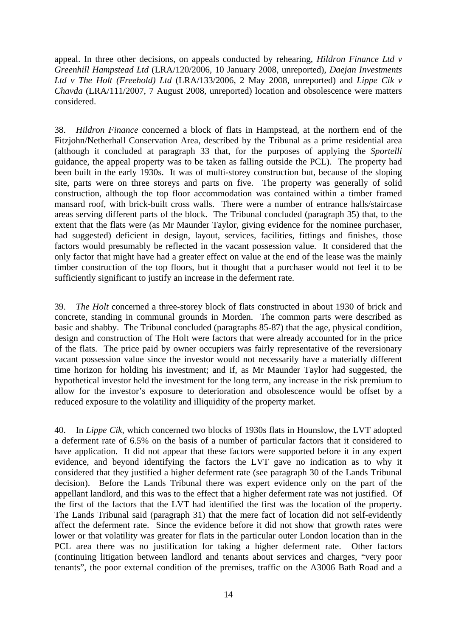appeal. In three other decisions, on appeals conducted by rehearing, *Hildron Finance Ltd v Greenhill Hampstead Ltd* (LRA/120/2006, 10 January 2008, unreported), *Daejan Investments Ltd v The Holt (Freehold) Ltd* (LRA/133/2006, 2 May 2008, unreported) and *Lippe Cik v Chavda* (LRA/111/2007, 7 August 2008, unreported) location and obsolescence were matters considered.

38. *Hildron Finance* concerned a block of flats in Hampstead, at the northern end of the Fitzjohn/Netherhall Conservation Area, described by the Tribunal as a prime residential area (although it concluded at paragraph 33 that, for the purposes of applying the *Sportelli*  guidance, the appeal property was to be taken as falling outside the PCL). The property had been built in the early 1930s. It was of multi-storey construction but, because of the sloping site, parts were on three storeys and parts on five. The property was generally of solid construction, although the top floor accommodation was contained within a timber framed mansard roof, with brick-built cross walls. There were a number of entrance halls/staircase areas serving different parts of the block. The Tribunal concluded (paragraph 35) that, to the extent that the flats were (as Mr Maunder Taylor, giving evidence for the nominee purchaser, had suggested) deficient in design, layout, services, facilities, fittings and finishes, those factors would presumably be reflected in the vacant possession value. It considered that the only factor that might have had a greater effect on value at the end of the lease was the mainly timber construction of the top floors, but it thought that a purchaser would not feel it to be sufficiently significant to justify an increase in the deferment rate.

39. *The Holt* concerned a three-storey block of flats constructed in about 1930 of brick and concrete, standing in communal grounds in Morden. The common parts were described as basic and shabby. The Tribunal concluded (paragraphs 85-87) that the age, physical condition, design and construction of The Holt were factors that were already accounted for in the price of the flats. The price paid by owner occupiers was fairly representative of the reversionary vacant possession value since the investor would not necessarily have a materially different time horizon for holding his investment; and if, as Mr Maunder Taylor had suggested, the hypothetical investor held the investment for the long term, any increase in the risk premium to allow for the investor's exposure to deterioration and obsolescence would be offset by a reduced exposure to the volatility and illiquidity of the property market.

40. In *Lippe Cik*, which concerned two blocks of 1930s flats in Hounslow, the LVT adopted a deferment rate of 6.5% on the basis of a number of particular factors that it considered to have application. It did not appear that these factors were supported before it in any expert evidence, and beyond identifying the factors the LVT gave no indication as to why it considered that they justified a higher deferment rate (see paragraph 30 of the Lands Tribunal decision). Before the Lands Tribunal there was expert evidence only on the part of the appellant landlord, and this was to the effect that a higher deferment rate was not justified. Of the first of the factors that the LVT had identified the first was the location of the property. The Lands Tribunal said (paragraph 31) that the mere fact of location did not self-evidently affect the deferment rate. Since the evidence before it did not show that growth rates were lower or that volatility was greater for flats in the particular outer London location than in the PCL area there was no justification for taking a higher deferment rate. Other factors (continuing litigation between landlord and tenants about services and charges, "very poor tenants", the poor external condition of the premises, traffic on the A3006 Bath Road and a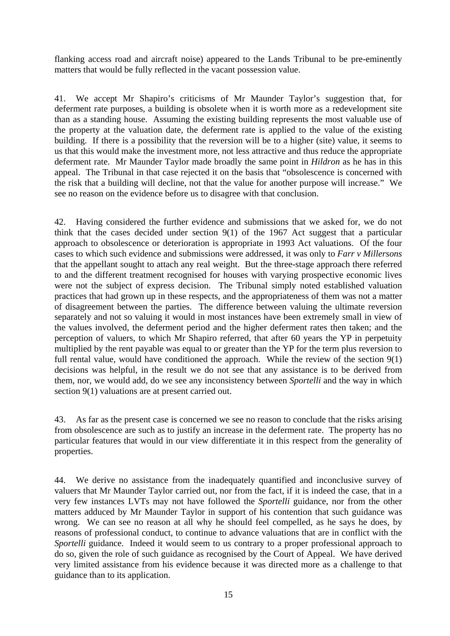flanking access road and aircraft noise) appeared to the Lands Tribunal to be pre-eminently matters that would be fully reflected in the vacant possession value.

41. We accept Mr Shapiro's criticisms of Mr Maunder Taylor's suggestion that, for deferment rate purposes, a building is obsolete when it is worth more as a redevelopment site than as a standing house. Assuming the existing building represents the most valuable use of the property at the valuation date, the deferment rate is applied to the value of the existing building. If there is a possibility that the reversion will be to a higher (site) value, it seems to us that this would make the investment more, not less attractive and thus reduce the appropriate deferment rate. Mr Maunder Taylor made broadly the same point in *Hildron* as he has in this appeal. The Tribunal in that case rejected it on the basis that "obsolescence is concerned with the risk that a building will decline, not that the value for another purpose will increase." We see no reason on the evidence before us to disagree with that conclusion.

42. Having considered the further evidence and submissions that we asked for, we do not think that the cases decided under section 9(1) of the 1967 Act suggest that a particular approach to obsolescence or deterioration is appropriate in 1993 Act valuations. Of the four cases to which such evidence and submissions were addressed, it was only to *Farr v Millersons* that the appellant sought to attach any real weight. But the three-stage approach there referred to and the different treatment recognised for houses with varying prospective economic lives were not the subject of express decision. The Tribunal simply noted established valuation practices that had grown up in these respects, and the appropriateness of them was not a matter of disagreement between the parties. The difference between valuing the ultimate reversion separately and not so valuing it would in most instances have been extremely small in view of the values involved, the deferment period and the higher deferment rates then taken; and the perception of valuers, to which Mr Shapiro referred, that after 60 years the YP in perpetuity multiplied by the rent payable was equal to or greater than the YP for the term plus reversion to full rental value, would have conditioned the approach. While the review of the section 9(1) decisions was helpful, in the result we do not see that any assistance is to be derived from them, nor, we would add, do we see any inconsistency between *Sportelli* and the way in which section 9(1) valuations are at present carried out.

43. As far as the present case is concerned we see no reason to conclude that the risks arising from obsolescence are such as to justify an increase in the deferment rate. The property has no particular features that would in our view differentiate it in this respect from the generality of properties.

44. We derive no assistance from the inadequately quantified and inconclusive survey of valuers that Mr Maunder Taylor carried out, nor from the fact, if it is indeed the case, that in a very few instances LVTs may not have followed the *Sportelli* guidance, nor from the other matters adduced by Mr Maunder Taylor in support of his contention that such guidance was wrong. We can see no reason at all why he should feel compelled, as he says he does, by reasons of professional conduct, to continue to advance valuations that are in conflict with the *Sportelli* guidance. Indeed it would seem to us contrary to a proper professional approach to do so, given the role of such guidance as recognised by the Court of Appeal. We have derived very limited assistance from his evidence because it was directed more as a challenge to that guidance than to its application.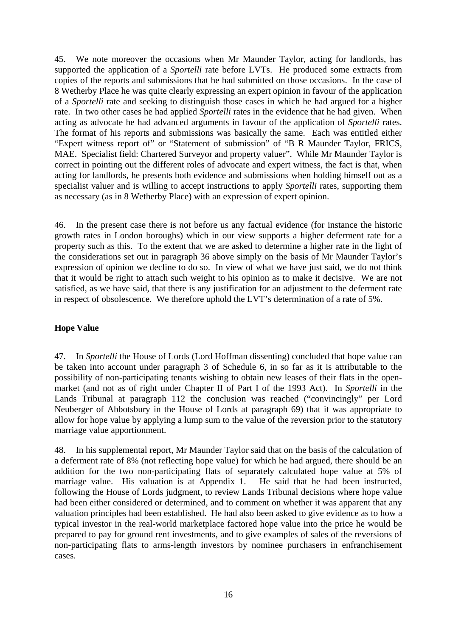45. We note moreover the occasions when Mr Maunder Taylor, acting for landlords, has supported the application of a *Sportelli* rate before LVTs. He produced some extracts from copies of the reports and submissions that he had submitted on those occasions. In the case of 8 Wetherby Place he was quite clearly expressing an expert opinion in favour of the application of a *Sportelli* rate and seeking to distinguish those cases in which he had argued for a higher rate. In two other cases he had applied *Sportelli* rates in the evidence that he had given. When acting as advocate he had advanced arguments in favour of the application of *Sportelli* rates. The format of his reports and submissions was basically the same. Each was entitled either "Expert witness report of" or "Statement of submission" of "B R Maunder Taylor, FRICS, MAE. Specialist field: Chartered Surveyor and property valuer". While Mr Maunder Taylor is correct in pointing out the different roles of advocate and expert witness, the fact is that, when acting for landlords, he presents both evidence and submissions when holding himself out as a specialist valuer and is willing to accept instructions to apply *Sportelli* rates, supporting them as necessary (as in 8 Wetherby Place) with an expression of expert opinion.

46. In the present case there is not before us any factual evidence (for instance the historic growth rates in London boroughs) which in our view supports a higher deferment rate for a property such as this. To the extent that we are asked to determine a higher rate in the light of the considerations set out in paragraph 36 above simply on the basis of Mr Maunder Taylor's expression of opinion we decline to do so. In view of what we have just said, we do not think that it would be right to attach such weight to his opinion as to make it decisive. We are not satisfied, as we have said, that there is any justification for an adjustment to the deferment rate in respect of obsolescence. We therefore uphold the LVT's determination of a rate of 5%.

## **Hope Value**

47. In *Sportelli* the House of Lords (Lord Hoffman dissenting) concluded that hope value can be taken into account under paragraph 3 of Schedule 6, in so far as it is attributable to the possibility of non-participating tenants wishing to obtain new leases of their flats in the openmarket (and not as of right under Chapter II of Part I of the 1993 Act). In *Sportelli* in the Lands Tribunal at paragraph 112 the conclusion was reached ("convincingly" per Lord Neuberger of Abbotsbury in the House of Lords at paragraph 69) that it was appropriate to allow for hope value by applying a lump sum to the value of the reversion prior to the statutory marriage value apportionment.

48. In his supplemental report, Mr Maunder Taylor said that on the basis of the calculation of a deferment rate of 8% (not reflecting hope value) for which he had argued, there should be an addition for the two non-participating flats of separately calculated hope value at 5% of marriage value. His valuation is at Appendix 1. He said that he had been instructed, following the House of Lords judgment, to review Lands Tribunal decisions where hope value had been either considered or determined, and to comment on whether it was apparent that any valuation principles had been established. He had also been asked to give evidence as to how a typical investor in the real-world marketplace factored hope value into the price he would be prepared to pay for ground rent investments, and to give examples of sales of the reversions of non-participating flats to arms-length investors by nominee purchasers in enfranchisement cases.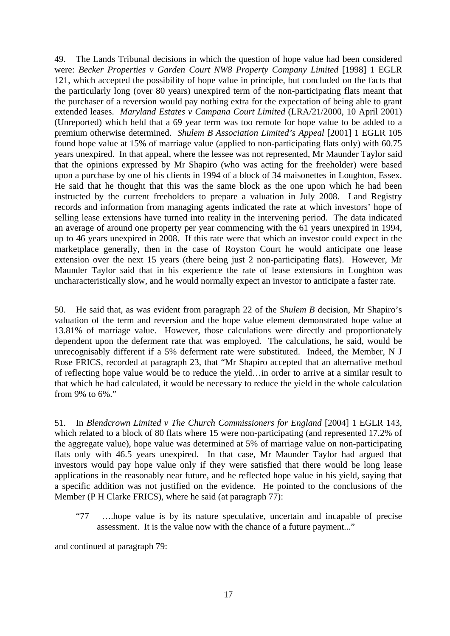49. The Lands Tribunal decisions in which the question of hope value had been considered were: *Becker Properties v Garden Court NW8 Property Company Limited* [1998] 1 EGLR 121, which accepted the possibility of hope value in principle, but concluded on the facts that the particularly long (over 80 years) unexpired term of the non-participating flats meant that the purchaser of a reversion would pay nothing extra for the expectation of being able to grant extended leases. *Maryland Estates v Campana Court Limited* (LRA/21/2000, 10 April 2001) (Unreported) which held that a 69 year term was too remote for hope value to be added to a premium otherwise determined. *Shulem B Association Limited's Appeal* [2001] 1 EGLR 105 found hope value at 15% of marriage value (applied to non-participating flats only) with 60.75 years unexpired. In that appeal, where the lessee was not represented, Mr Maunder Taylor said that the opinions expressed by Mr Shapiro (who was acting for the freeholder) were based upon a purchase by one of his clients in 1994 of a block of 34 maisonettes in Loughton, Essex. He said that he thought that this was the same block as the one upon which he had been instructed by the current freeholders to prepare a valuation in July 2008. Land Registry records and information from managing agents indicated the rate at which investors' hope of selling lease extensions have turned into reality in the intervening period. The data indicated an average of around one property per year commencing with the 61 years unexpired in 1994, up to 46 years unexpired in 2008. If this rate were that which an investor could expect in the marketplace generally, then in the case of Royston Court he would anticipate one lease extension over the next 15 years (there being just 2 non-participating flats). However, Mr Maunder Taylor said that in his experience the rate of lease extensions in Loughton was uncharacteristically slow, and he would normally expect an investor to anticipate a faster rate.

50. He said that, as was evident from paragraph 22 of the *Shulem B* decision, Mr Shapiro's valuation of the term and reversion and the hope value element demonstrated hope value at 13.81% of marriage value. However, those calculations were directly and proportionately dependent upon the deferment rate that was employed. The calculations, he said, would be unrecognisably different if a 5% deferment rate were substituted. Indeed, the Member, N J Rose FRICS, recorded at paragraph 23, that "Mr Shapiro accepted that an alternative method of reflecting hope value would be to reduce the yield…in order to arrive at a similar result to that which he had calculated, it would be necessary to reduce the yield in the whole calculation from 9% to 6%."

51. In *Blendcrown Limited v The Church Commissioners for England* [2004] 1 EGLR 143, which related to a block of 80 flats where 15 were non-participating (and represented 17.2% of the aggregate value), hope value was determined at 5% of marriage value on non-participating flats only with 46.5 years unexpired. In that case, Mr Maunder Taylor had argued that investors would pay hope value only if they were satisfied that there would be long lease applications in the reasonably near future, and he reflected hope value in his yield, saying that a specific addition was not justified on the evidence. He pointed to the conclusions of the Member (P H Clarke FRICS), where he said (at paragraph 77):

"77 ….hope value is by its nature speculative, uncertain and incapable of precise assessment. It is the value now with the chance of a future payment..."

and continued at paragraph 79: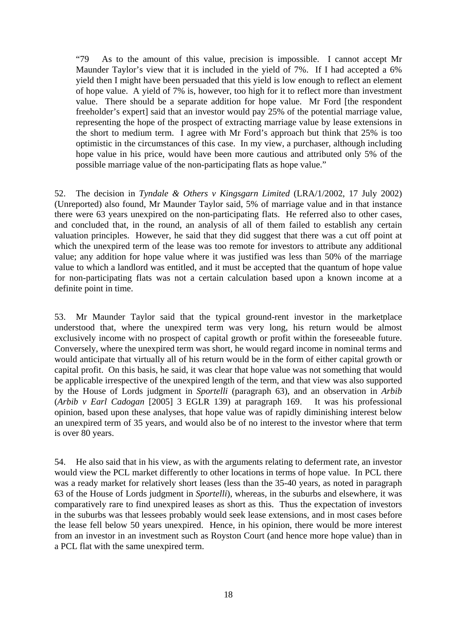"79 As to the amount of this value, precision is impossible. I cannot accept Mr Maunder Taylor's view that it is included in the yield of 7%. If I had accepted a 6% yield then I might have been persuaded that this yield is low enough to reflect an element of hope value. A yield of 7% is, however, too high for it to reflect more than investment value. There should be a separate addition for hope value. Mr Ford [the respondent freeholder's expert] said that an investor would pay 25% of the potential marriage value, representing the hope of the prospect of extracting marriage value by lease extensions in the short to medium term. I agree with Mr Ford's approach but think that 25% is too optimistic in the circumstances of this case. In my view, a purchaser, although including hope value in his price, would have been more cautious and attributed only 5% of the possible marriage value of the non-participating flats as hope value."

52. The decision in *Tyndale & Others v Kingsgarn Limited* (LRA/1/2002, 17 July 2002) (Unreported) also found, Mr Maunder Taylor said, 5% of marriage value and in that instance there were 63 years unexpired on the non-participating flats. He referred also to other cases, and concluded that, in the round, an analysis of all of them failed to establish any certain valuation principles. However, he said that they did suggest that there was a cut off point at which the unexpired term of the lease was too remote for investors to attribute any additional value; any addition for hope value where it was justified was less than 50% of the marriage value to which a landlord was entitled, and it must be accepted that the quantum of hope value for non-participating flats was not a certain calculation based upon a known income at a definite point in time.

53. Mr Maunder Taylor said that the typical ground-rent investor in the marketplace understood that, where the unexpired term was very long, his return would be almost exclusively income with no prospect of capital growth or profit within the foreseeable future. Conversely, where the unexpired term was short, he would regard income in nominal terms and would anticipate that virtually all of his return would be in the form of either capital growth or capital profit. On this basis, he said, it was clear that hope value was not something that would be applicable irrespective of the unexpired length of the term, and that view was also supported by the House of Lords judgment in *Sportelli* (paragraph 63), and an observation in *Arbib*  (*Arbib v Earl Cadogan* [2005] 3 EGLR 139) at paragraph 169. It was his professional opinion, based upon these analyses, that hope value was of rapidly diminishing interest below an unexpired term of 35 years, and would also be of no interest to the investor where that term is over 80 years.

54. He also said that in his view, as with the arguments relating to deferment rate, an investor would view the PCL market differently to other locations in terms of hope value. In PCL there was a ready market for relatively short leases (less than the 35-40 years, as noted in paragraph 63 of the House of Lords judgment in *Sportelli*), whereas, in the suburbs and elsewhere, it was comparatively rare to find unexpired leases as short as this. Thus the expectation of investors in the suburbs was that lessees probably would seek lease extensions, and in most cases before the lease fell below 50 years unexpired. Hence, in his opinion, there would be more interest from an investor in an investment such as Royston Court (and hence more hope value) than in a PCL flat with the same unexpired term.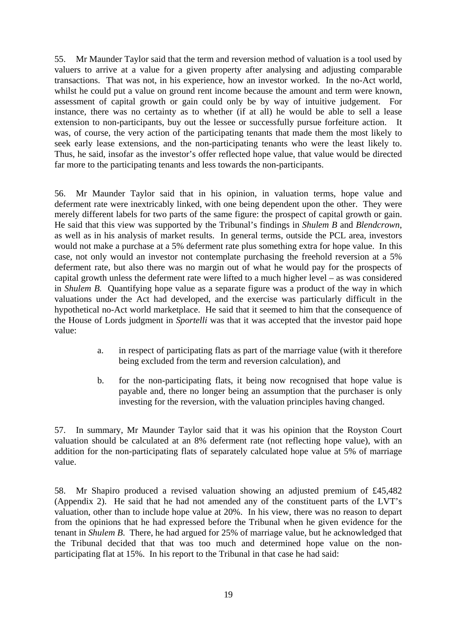55. Mr Maunder Taylor said that the term and reversion method of valuation is a tool used by valuers to arrive at a value for a given property after analysing and adjusting comparable transactions. That was not, in his experience, how an investor worked. In the no-Act world, whilst he could put a value on ground rent income because the amount and term were known, assessment of capital growth or gain could only be by way of intuitive judgement. For instance, there was no certainty as to whether (if at all) he would be able to sell a lease extension to non-participants, buy out the lessee or successfully pursue forfeiture action. It was, of course, the very action of the participating tenants that made them the most likely to seek early lease extensions, and the non-participating tenants who were the least likely to. Thus, he said, insofar as the investor's offer reflected hope value, that value would be directed far more to the participating tenants and less towards the non-participants.

56. Mr Maunder Taylor said that in his opinion, in valuation terms, hope value and deferment rate were inextricably linked, with one being dependent upon the other. They were merely different labels for two parts of the same figure: the prospect of capital growth or gain. He said that this view was supported by the Tribunal's findings in *Shulem B* and *Blendcrown*, as well as in his analysis of market results. In general terms, outside the PCL area, investors would not make a purchase at a 5% deferment rate plus something extra for hope value. In this case, not only would an investor not contemplate purchasing the freehold reversion at a 5% deferment rate, but also there was no margin out of what he would pay for the prospects of capital growth unless the deferment rate were lifted to a much higher level – as was considered in *Shulem B.* Quantifying hope value as a separate figure was a product of the way in which valuations under the Act had developed, and the exercise was particularly difficult in the hypothetical no-Act world marketplace. He said that it seemed to him that the consequence of the House of Lords judgment in *Sportelli* was that it was accepted that the investor paid hope value:

- a. in respect of participating flats as part of the marriage value (with it therefore being excluded from the term and reversion calculation), and
- b. for the non-participating flats, it being now recognised that hope value is payable and, there no longer being an assumption that the purchaser is only investing for the reversion, with the valuation principles having changed.

57. In summary, Mr Maunder Taylor said that it was his opinion that the Royston Court valuation should be calculated at an 8% deferment rate (not reflecting hope value), with an addition for the non-participating flats of separately calculated hope value at 5% of marriage value.

58. Mr Shapiro produced a revised valuation showing an adjusted premium of £45,482 (Appendix 2). He said that he had not amended any of the constituent parts of the LVT's valuation, other than to include hope value at 20%. In his view, there was no reason to depart from the opinions that he had expressed before the Tribunal when he given evidence for the tenant in *Shulem B*. There, he had argued for 25% of marriage value, but he acknowledged that the Tribunal decided that that was too much and determined hope value on the nonparticipating flat at 15%. In his report to the Tribunal in that case he had said: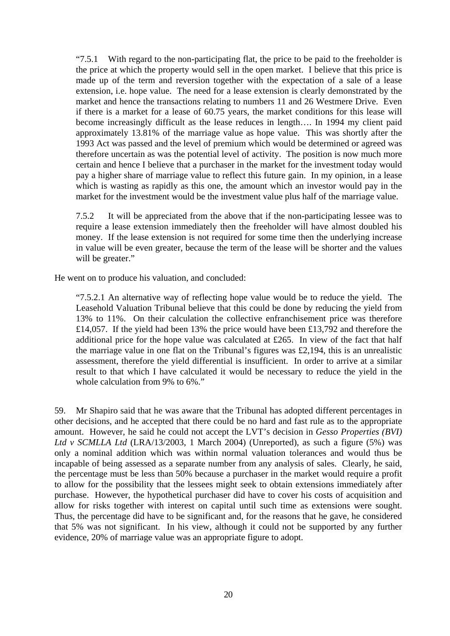"7.5.1 With regard to the non-participating flat, the price to be paid to the freeholder is the price at which the property would sell in the open market. I believe that this price is made up of the term and reversion together with the expectation of a sale of a lease extension, i.e. hope value. The need for a lease extension is clearly demonstrated by the market and hence the transactions relating to numbers 11 and 26 Westmere Drive. Even if there is a market for a lease of 60.75 years, the market conditions for this lease will become increasingly difficult as the lease reduces in length…. In 1994 my client paid approximately 13.81% of the marriage value as hope value. This was shortly after the 1993 Act was passed and the level of premium which would be determined or agreed was therefore uncertain as was the potential level of activity. The position is now much more certain and hence I believe that a purchaser in the market for the investment today would pay a higher share of marriage value to reflect this future gain. In my opinion, in a lease which is wasting as rapidly as this one, the amount which an investor would pay in the market for the investment would be the investment value plus half of the marriage value.

7.5.2 It will be appreciated from the above that if the non-participating lessee was to require a lease extension immediately then the freeholder will have almost doubled his money. If the lease extension is not required for some time then the underlying increase in value will be even greater, because the term of the lease will be shorter and the values will be greater."

He went on to produce his valuation, and concluded:

"7.5.2.1 An alternative way of reflecting hope value would be to reduce the yield. The Leasehold Valuation Tribunal believe that this could be done by reducing the yield from 13% to 11%. On their calculation the collective enfranchisement price was therefore £14,057. If the yield had been 13% the price would have been £13,792 and therefore the additional price for the hope value was calculated at £265. In view of the fact that half the marriage value in one flat on the Tribunal's figures was £2,194, this is an unrealistic assessment, therefore the yield differential is insufficient. In order to arrive at a similar result to that which I have calculated it would be necessary to reduce the yield in the whole calculation from 9% to 6%."

59. Mr Shapiro said that he was aware that the Tribunal has adopted different percentages in other decisions, and he accepted that there could be no hard and fast rule as to the appropriate amount. However, he said he could not accept the LVT's decision in *Gesso Properties (BVI) Ltd v SCMLLA Ltd* (LRA/13/2003, 1 March 2004) (Unreported), as such a figure (5%) was only a nominal addition which was within normal valuation tolerances and would thus be incapable of being assessed as a separate number from any analysis of sales. Clearly, he said, the percentage must be less than 50% because a purchaser in the market would require a profit to allow for the possibility that the lessees might seek to obtain extensions immediately after purchase. However, the hypothetical purchaser did have to cover his costs of acquisition and allow for risks together with interest on capital until such time as extensions were sought. Thus, the percentage did have to be significant and, for the reasons that he gave, he considered that 5% was not significant. In his view, although it could not be supported by any further evidence, 20% of marriage value was an appropriate figure to adopt.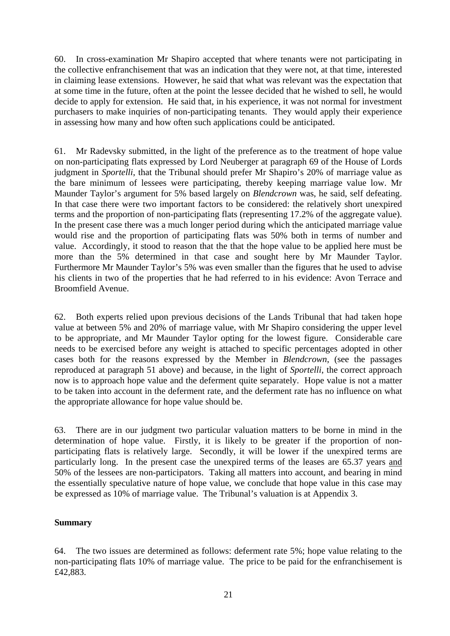60. In cross-examination Mr Shapiro accepted that where tenants were not participating in the collective enfranchisement that was an indication that they were not, at that time, interested in claiming lease extensions. However, he said that what was relevant was the expectation that at some time in the future, often at the point the lessee decided that he wished to sell, he would decide to apply for extension. He said that, in his experience, it was not normal for investment purchasers to make inquiries of non-participating tenants. They would apply their experience in assessing how many and how often such applications could be anticipated.

61. Mr Radevsky submitted, in the light of the preference as to the treatment of hope value on non-participating flats expressed by Lord Neuberger at paragraph 69 of the House of Lords judgment in *Sportelli*, that the Tribunal should prefer Mr Shapiro's 20% of marriage value as the bare minimum of lessees were participating, thereby keeping marriage value low. Mr Maunder Taylor's argument for 5% based largely on *Blendcrown* was, he said, self defeating. In that case there were two important factors to be considered: the relatively short unexpired terms and the proportion of non-participating flats (representing 17.2% of the aggregate value). In the present case there was a much longer period during which the anticipated marriage value would rise and the proportion of participating flats was 50% both in terms of number and value. Accordingly, it stood to reason that the that the hope value to be applied here must be more than the 5% determined in that case and sought here by Mr Maunder Taylor. Furthermore Mr Maunder Taylor's 5% was even smaller than the figures that he used to advise his clients in two of the properties that he had referred to in his evidence: Avon Terrace and Broomfield Avenue.

62. Both experts relied upon previous decisions of the Lands Tribunal that had taken hope value at between 5% and 20% of marriage value, with Mr Shapiro considering the upper level to be appropriate, and Mr Maunder Taylor opting for the lowest figure. Considerable care needs to be exercised before any weight is attached to specific percentages adopted in other cases both for the reasons expressed by the Member in *Blendcrown*, (see the passages reproduced at paragraph 51 above) and because, in the light of *Sportelli*, the correct approach now is to approach hope value and the deferment quite separately. Hope value is not a matter to be taken into account in the deferment rate, and the deferment rate has no influence on what the appropriate allowance for hope value should be.

63. There are in our judgment two particular valuation matters to be borne in mind in the determination of hope value. Firstly, it is likely to be greater if the proportion of nonparticipating flats is relatively large. Secondly, it will be lower if the unexpired terms are particularly long. In the present case the unexpired terms of the leases are 65.37 years and 50% of the lessees are non-participators. Taking all matters into account, and bearing in mind the essentially speculative nature of hope value, we conclude that hope value in this case may be expressed as 10% of marriage value. The Tribunal's valuation is at Appendix 3.

## **Summary**

64. The two issues are determined as follows: deferment rate 5%; hope value relating to the non-participating flats 10% of marriage value. The price to be paid for the enfranchisement is £42,883.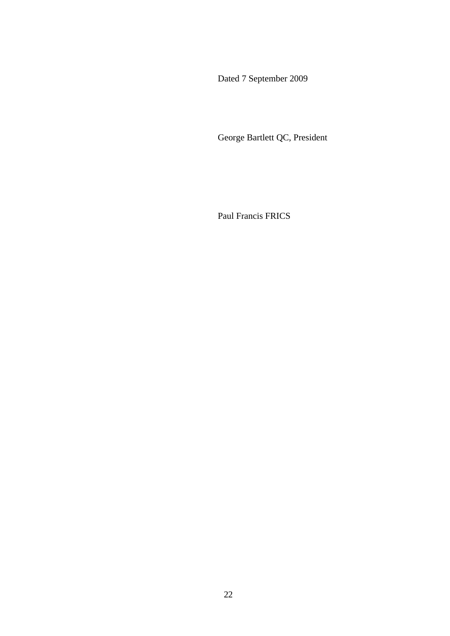Dated 7 September 2009

George Bartlett QC, President

Paul Francis FRICS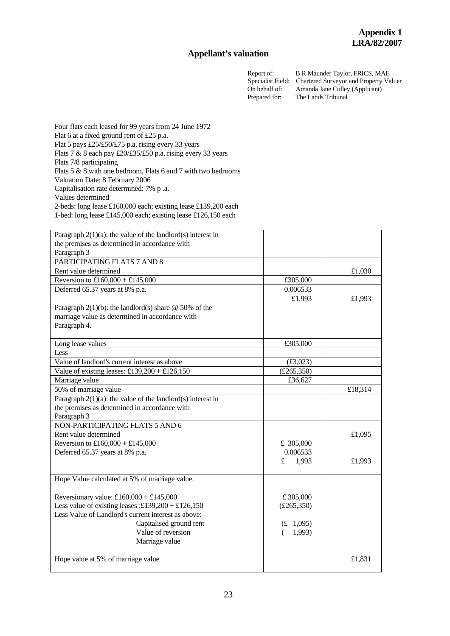#### **Appellant's valuation**

Report of: B R Maunder Taylor, FRICS, MAE<br>Specialist Field: Chartered Surveyor and Property Va Chartered Surveyor and Property Valuer On behalf of: Amanda Jane Culley (Applicant) Prepared for: The Lands Tribunal

Four flats each leased for 99 years from 24 June 1972 Flat 6 at a fixed ground rent of £25 p.a. Flat 5 pays £25/£50/£75 p.a. rising every 33 years Flats 7 & 8 each pay £20/£35/£50 p.a. rising every 33 years Flats 7/8 participating Flats 5 & 8 with one bedroom, Flats 6 and 7 with two bedrooms Valuation Date: 8 February 2006 Capitalisation rate determined: 7% p .a. Values determined 2-beds: long lease £160,000 each; existing lease £139,200 each 1-bed: long lease £145,000 each; existing lease £126,150 each

| Paragraph $2(1)(a)$ : the value of the landlord(s) interest in |            |         |
|----------------------------------------------------------------|------------|---------|
| the premises as determined in accordance with                  |            |         |
| Paragraph 3                                                    |            |         |
| PARTICIPATING FLATS 7 AND 8                                    |            |         |
| Rent value determined                                          |            | £1,030  |
| Reversion to £160,000 + £145,000                               | £305,000   |         |
| Deferred 65.37 years at 8% p.a.                                | 0.006533   |         |
|                                                                | £1,993     |         |
|                                                                |            | £1,993  |
| Paragraph $2(1)(b)$ : the landlord(s) share @ 50% of the       |            |         |
| marriage value as determined in accordance with                |            |         |
| Paragraph 4.                                                   |            |         |
| Long lease values                                              | £305,000   |         |
| Less                                                           |            |         |
| Value of landlord's current interest as above                  | £3,023)    |         |
| Value of existing leases: $£139,200 + £126,150$                | (E265,350) |         |
| Marriage value                                                 | £36,627    |         |
| 50% of marriage value                                          |            | £18,314 |
| Paragraph $2(1)(a)$ : the value of the landlord(s) interest in |            |         |
| the premises as determined in accordance with                  |            |         |
| Paragraph 3                                                    |            |         |
| NON-PARTICIPATING FLATS 5 AND 6                                |            |         |
| Rent value determined                                          |            | £1,095  |
| Reversion to £160,000 + £145,000                               | £ 305,000  |         |
| Deferred 65.37 years at 8% p.a.                                | 0.006533   |         |
|                                                                | £<br>1,993 | £1,993  |
|                                                                |            |         |
| Hope Value calculated at 5% of marriage value.                 |            |         |
|                                                                |            |         |
| Reversionary value: £160,000 + £145,000                        | £305,000   |         |
| Less value of existing leases :£139,200 + £126,150             | (E265,350) |         |
| Less Value of Landlord's current interest as above:            |            |         |
| Capitalised ground rent                                        | (E 1,095)  |         |
| Value of reversion                                             | 1,993)     |         |
| Marriage value                                                 |            |         |
|                                                                |            |         |
| Hope value at 5% of marriage value                             |            | £1,831  |
|                                                                |            |         |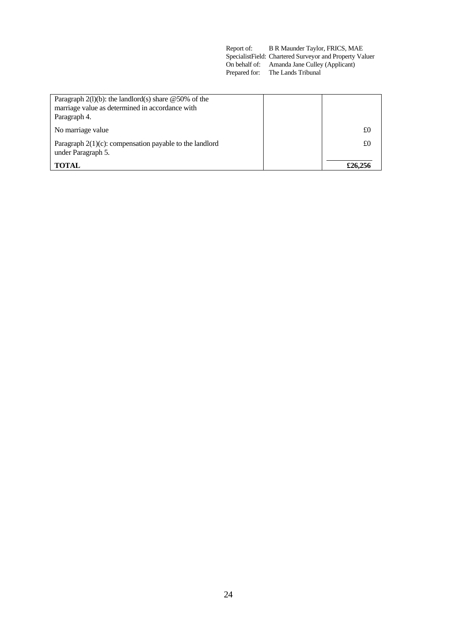| Report of: | B R Maunder Taylor, FRICS, MAE                           |
|------------|----------------------------------------------------------|
|            | Specialist Field: Chartered Surveyor and Property Valuer |
|            | On behalf of: Amanda Jane Culley (Applicant)             |
|            | Prepared for: The Lands Tribunal                         |

| Paragraph $2(l)(b)$ : the landlord(s) share @50% of the                          |         |
|----------------------------------------------------------------------------------|---------|
| marriage value as determined in accordance with                                  |         |
| Paragraph 4.                                                                     |         |
| No marriage value                                                                | £0      |
| Paragraph $2(1)(c)$ : compensation payable to the landlord<br>under Paragraph 5. | £0      |
| TOTAL                                                                            | £26,256 |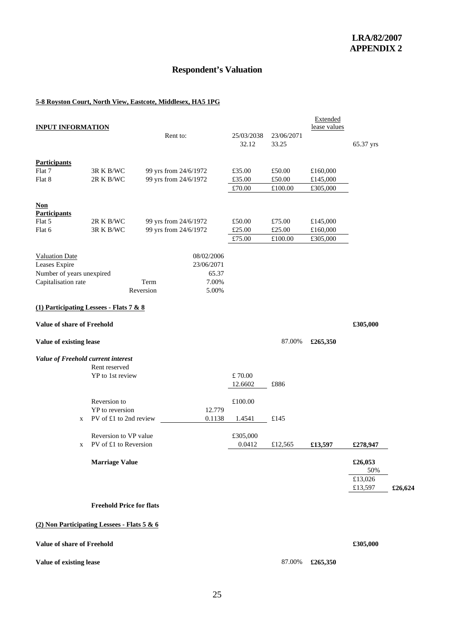## **Respondent's Valuation**

#### **5-8 Royston Court, North View, Eastcote, Middlesex, HA5 1PG**

| <b>INPUT INFORMATION</b>                    |                                 |                       |                          |                     |                     | Extended<br>lease values |           |         |
|---------------------------------------------|---------------------------------|-----------------------|--------------------------|---------------------|---------------------|--------------------------|-----------|---------|
|                                             |                                 | Rent to:              |                          | 25/03/2038<br>32.12 | 23/06/2071<br>33.25 |                          | 65.37 yrs |         |
| <b>Participants</b>                         |                                 |                       |                          |                     |                     |                          |           |         |
| Flat 7                                      | 3R K B/WC                       | 99 yrs from 24/6/1972 |                          | £35.00              | £50.00              | £160,000                 |           |         |
| Flat 8                                      | 2R K B/WC                       | 99 yrs from 24/6/1972 |                          | £35.00              | £50.00              | £145,000                 |           |         |
|                                             |                                 |                       |                          | £70.00              | £100.00             | £305,000                 |           |         |
| <b>Non</b><br><b>Participants</b>           |                                 |                       |                          |                     |                     |                          |           |         |
| Flat 5                                      | 2R K B/WC                       | 99 yrs from 24/6/1972 |                          | £50.00              | £75.00              | £145,000                 |           |         |
| Flat 6                                      | 3R K B/WC                       | 99 yrs from 24/6/1972 |                          | £25.00              | £25.00              | £160,000                 |           |         |
|                                             |                                 |                       |                          | £75.00              | £100.00             | £305,000                 |           |         |
| <b>Valuation Date</b><br>Leases Expire      |                                 |                       | 08/02/2006<br>23/06/2071 |                     |                     |                          |           |         |
| Number of years unexpired                   |                                 |                       | 65.37                    |                     |                     |                          |           |         |
| Capitalisation rate                         |                                 | Term                  | 7.00%                    |                     |                     |                          |           |         |
|                                             |                                 | Reversion             | 5.00%                    |                     |                     |                          |           |         |
| (1) Participating Lessees - Flats 7 & 8     |                                 |                       |                          |                     |                     |                          |           |         |
|                                             |                                 |                       |                          |                     |                     |                          |           |         |
| Value of share of Freehold                  |                                 |                       |                          |                     |                     |                          | £305,000  |         |
| Value of existing lease                     |                                 |                       |                          |                     | 87.00%              | £265,350                 |           |         |
| Value of Freehold current interest          |                                 |                       |                          |                     |                     |                          |           |         |
|                                             | Rent reserved                   |                       |                          |                     |                     |                          |           |         |
|                                             | YP to 1st review                |                       |                          | £70.00              |                     |                          |           |         |
|                                             |                                 |                       |                          | 12.6602             | £886                |                          |           |         |
|                                             | Reversion to                    |                       |                          | £100.00             |                     |                          |           |         |
|                                             | YP to reversion                 |                       | 12.779                   |                     |                     |                          |           |         |
| X                                           | PV of £1 to 2nd review          |                       | 0.1138                   | 1.4541              | £145                |                          |           |         |
|                                             | Reversion to VP value           |                       |                          | £305,000            |                     |                          |           |         |
| X                                           | PV of £1 to Reversion           |                       |                          | 0.0412              | £12,565             | £13,597                  | £278,947  |         |
|                                             |                                 |                       |                          |                     |                     |                          |           |         |
|                                             | <b>Marriage Value</b>           |                       |                          |                     |                     |                          | £26,053   |         |
|                                             |                                 |                       |                          |                     |                     |                          | 50%       |         |
|                                             |                                 |                       |                          |                     |                     |                          | £13,026   |         |
|                                             |                                 |                       |                          |                     |                     |                          | £13,597   | £26,624 |
|                                             | <b>Freehold Price for flats</b> |                       |                          |                     |                     |                          |           |         |
|                                             |                                 |                       |                          |                     |                     |                          |           |         |
| (2) Non Participating Lessees - Flats 5 & 6 |                                 |                       |                          |                     |                     |                          |           |         |

**Value of share of Freehold**  $\pounds 305,000$ 

#### **Value of existing lease** 87.00% **£265,350**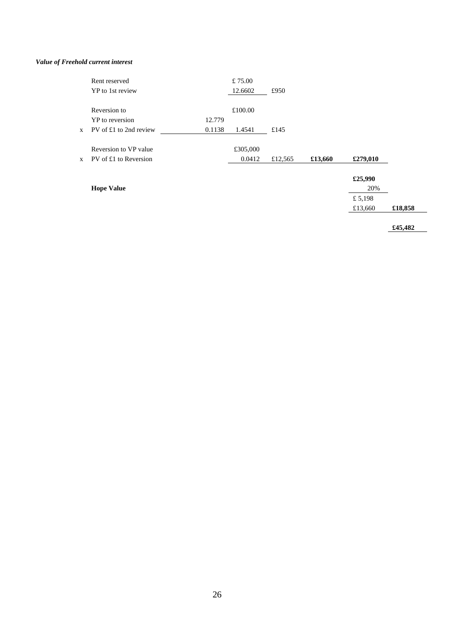#### *Value of Freehold current interest*

|              | Rent reserved          |        | £75.00   |         |         |          |
|--------------|------------------------|--------|----------|---------|---------|----------|
|              | YP to 1st review       |        | 12.6602  | £950    |         |          |
|              | Reversion to           |        | £100.00  |         |         |          |
|              | YP to reversion        | 12.779 |          |         |         |          |
| $\mathbf{X}$ | PV of £1 to 2nd review | 0.1138 | 1.4541   | £145    |         |          |
|              | Reversion to VP value  |        | £305,000 |         |         |          |
| $\mathbf{X}$ | PV of £1 to Reversion  |        | 0.0412   | £12,565 | £13,660 | £279,010 |
|              |                        |        |          |         |         | £25,990  |
|              | <b>Hope Value</b>      |        |          |         |         | 20%      |

 $£ 5,198$ 

£13,660 **£18,858** 

**£45,482**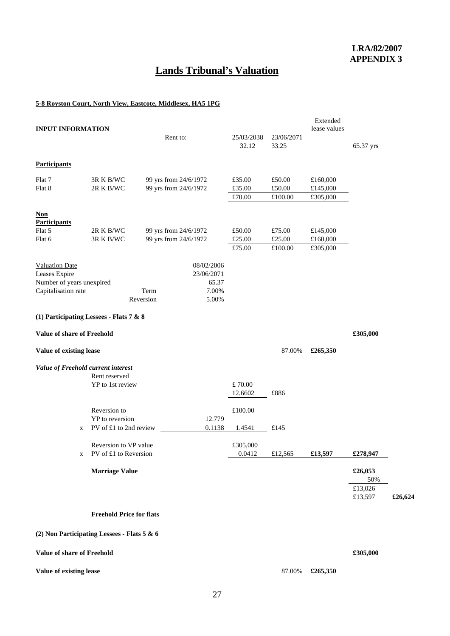# **Lands Tribunal's Valuation**

#### **5-8 Royston Court, North View, Eastcote, Middlesex, HA5 1PG**

| <b>INPUT INFORMATION</b>                         |                                 | Rent to:              |                | 25/03/2038 | 23/06/2071     | Extended<br>lease values |                    |         |
|--------------------------------------------------|---------------------------------|-----------------------|----------------|------------|----------------|--------------------------|--------------------|---------|
|                                                  |                                 |                       |                | 32.12      | 33.25          |                          | 65.37 yrs          |         |
| <b>Participants</b>                              |                                 |                       |                |            |                |                          |                    |         |
| Flat 7                                           | 3R K B/WC                       | 99 yrs from 24/6/1972 |                | £35.00     | £50.00         | £160,000                 |                    |         |
| Flat 8                                           | 2R K B/WC                       | 99 yrs from 24/6/1972 |                | £35.00     | £50.00         | £145,000                 |                    |         |
|                                                  |                                 |                       |                | £70.00     | £100.00        | £305,000                 |                    |         |
| $Non$<br><b>Participants</b>                     |                                 |                       |                |            |                |                          |                    |         |
| Flat 5                                           | 2R K B/WC                       | 99 yrs from 24/6/1972 |                | £50.00     | £75.00         | £145,000                 |                    |         |
| Flat 6                                           | 3R K B/WC                       | 99 yrs from 24/6/1972 |                | £25.00     | $\pounds25.00$ | £160,000                 |                    |         |
|                                                  |                                 |                       |                | £75.00     | £100.00        | £305,000                 |                    |         |
| <b>Valuation Date</b>                            |                                 |                       | 08/02/2006     |            |                |                          |                    |         |
| Leases Expire                                    |                                 |                       | 23/06/2071     |            |                |                          |                    |         |
| Number of years unexpired<br>Capitalisation rate |                                 | Term                  | 65.37<br>7.00% |            |                |                          |                    |         |
|                                                  |                                 | Reversion             | 5.00%          |            |                |                          |                    |         |
| (1) Participating Lessees - Flats $7 & 8$        |                                 |                       |                |            |                |                          |                    |         |
|                                                  |                                 |                       |                |            |                |                          |                    |         |
| <b>Value of share of Freehold</b>                |                                 |                       |                |            |                |                          | £305,000           |         |
| Value of existing lease                          |                                 |                       |                |            | 87.00%         | £265,350                 |                    |         |
| Value of Freehold current interest               |                                 |                       |                |            |                |                          |                    |         |
|                                                  | Rent reserved                   |                       |                |            |                |                          |                    |         |
|                                                  | YP to 1st review                |                       |                | £70.00     |                |                          |                    |         |
|                                                  |                                 |                       |                | 12.6602    | £886           |                          |                    |         |
|                                                  | Reversion to                    |                       |                | £100.00    |                |                          |                    |         |
|                                                  | YP to reversion                 |                       | 12.779         |            |                |                          |                    |         |
| X                                                | PV of £1 to 2nd review          |                       | 0.1138         | 1.4541     | £145           |                          |                    |         |
|                                                  | Reversion to VP value           |                       |                | £305,000   |                |                          |                    |         |
|                                                  | PV of £1 to Reversion           |                       |                | 0.0412     | £12,565        | £13,597                  | £278,947           |         |
|                                                  | <b>Marriage Value</b>           |                       |                |            |                |                          | £26,053<br>50%     |         |
|                                                  |                                 |                       |                |            |                |                          | £13,026<br>£13,597 | £26,624 |
|                                                  | <b>Freehold Price for flats</b> |                       |                |            |                |                          |                    |         |
|                                                  |                                 |                       |                |            |                |                          |                    |         |
| (2) Non Participating Lessees - Flats 5 & 6      |                                 |                       |                |            |                |                          |                    |         |

**Value of share of Freehold**  $\text{\textsterling}305,000$ 

#### **Value of existing lease** 87.00% **£265,350**